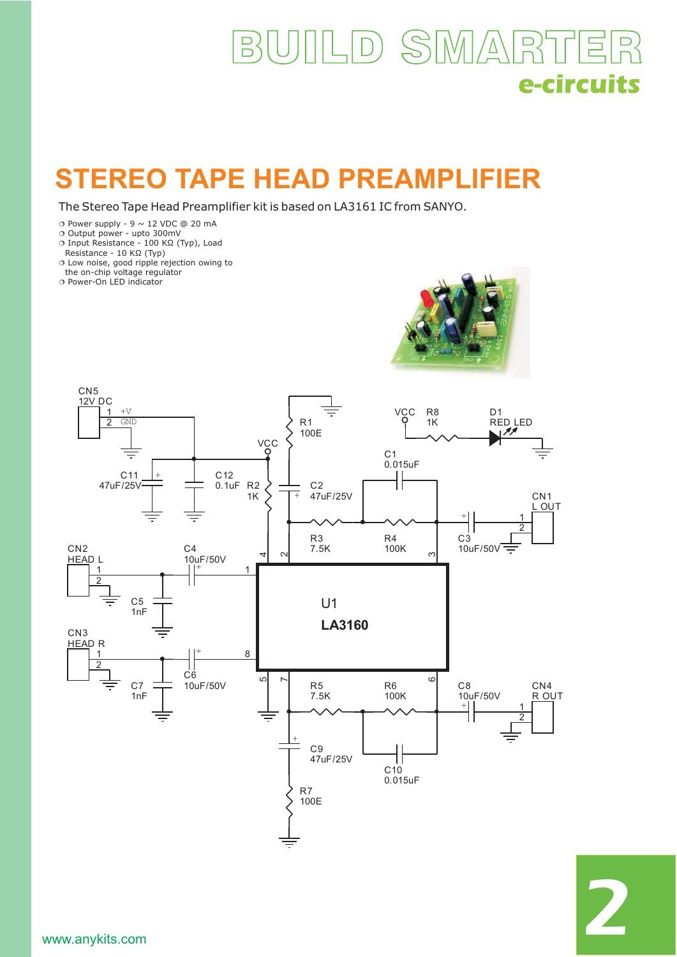## ILD SMART  $B_{2}$ 巨 e-circuits

## **STEREO TAPE HEAD PREAMPLIFIER**

The Stereo Tape Head Preamplifier kit is based on LA3161 IC from SANYO.

- $\circ$  Power supply 9  $\sim$  12 VDC @ 20 mA
- $\circ$ O Output power - upto 300mV<br>Ο Input Resistance - 100 ΚΩ (΄
- Input Resistance 100 KΩ (Typ), Load
- Resistance 10 KΩ (Typ)
- Low noise, good ripple rejection owing to
- O Power-On LED indicator the on-chip voltage regulator





2